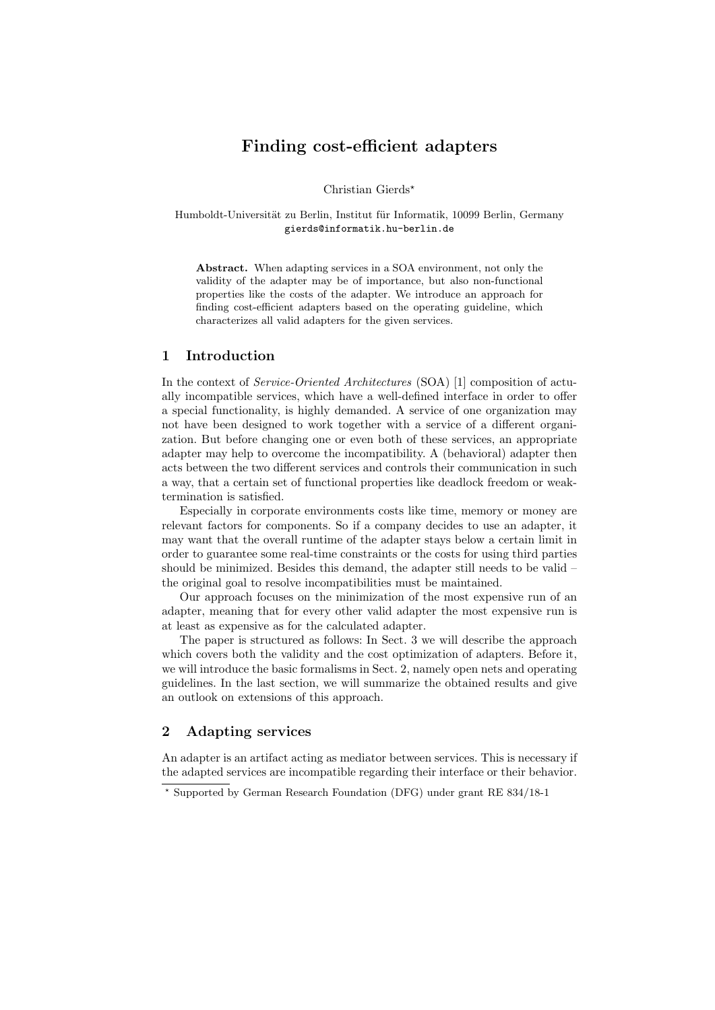# Finding cost-efficient adapters

Christian Gierds?

Humboldt-Universität zu Berlin, Institut für Informatik, 10099 Berlin, Germany gierds@informatik.hu-berlin.de

Abstract. When adapting services in a SOA environment, not only the validity of the adapter may be of importance, but also non-functional properties like the costs of the adapter. We introduce an approach for finding cost-efficient adapters based on the operating guideline, which characterizes all valid adapters for the given services.

### 1 Introduction

In the context of Service-Oriented Architectures (SOA) [1] composition of actually incompatible services, which have a well-defined interface in order to offer a special functionality, is highly demanded. A service of one organization may not have been designed to work together with a service of a different organization. But before changing one or even both of these services, an appropriate adapter may help to overcome the incompatibility. A (behavioral) adapter then acts between the two different services and controls their communication in such a way, that a certain set of functional properties like deadlock freedom or weaktermination is satisfied.

Especially in corporate environments costs like time, memory or money are relevant factors for components. So if a company decides to use an adapter, it may want that the overall runtime of the adapter stays below a certain limit in order to guarantee some real-time constraints or the costs for using third parties should be minimized. Besides this demand, the adapter still needs to be valid – the original goal to resolve incompatibilities must be maintained.

Our approach focuses on the minimization of the most expensive run of an adapter, meaning that for every other valid adapter the most expensive run is at least as expensive as for the calculated adapter.

The paper is structured as follows: In Sect. [3](#page-2-0) we will describe the approach which covers both the validity and the cost optimization of adapters. Before it, we will introduce the basic formalisms in Sect. [2,](#page-0-0) namely open nets and operating guidelines. In the last section, we will summarize the obtained results and give an outlook on extensions of this approach.

## <span id="page-0-0"></span>2 Adapting services

An adapter is an artifact acting as mediator between services. This is necessary if the adapted services are incompatible regarding their interface or their behavior.

<sup>?</sup> Supported by German Research Foundation (DFG) under grant RE 834/18-1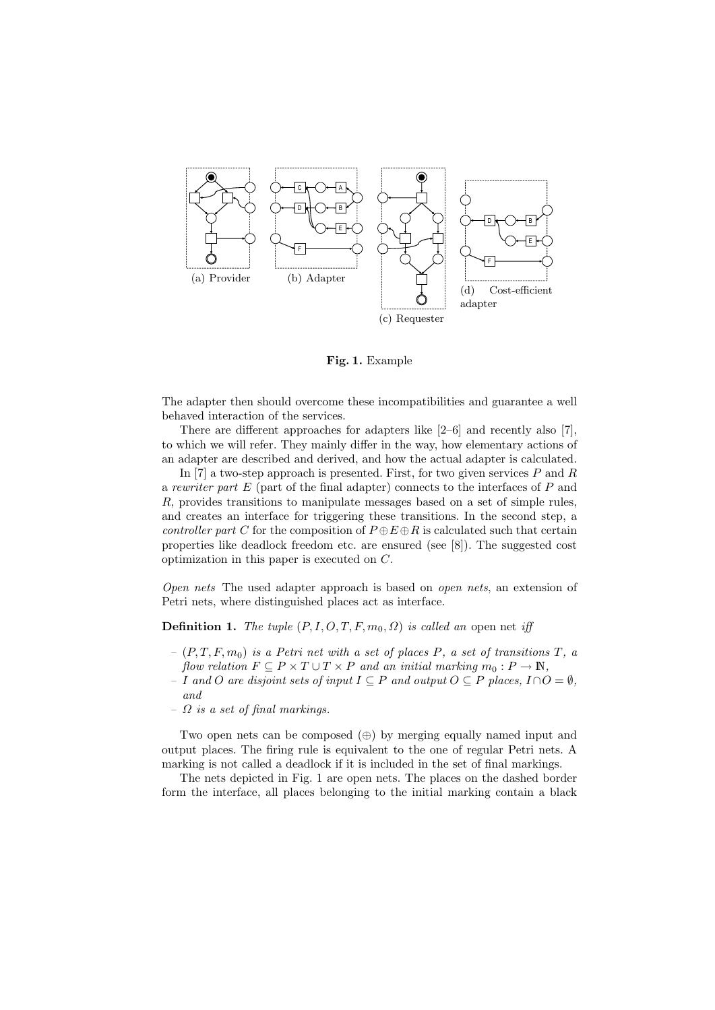<span id="page-1-2"></span>

<span id="page-1-3"></span><span id="page-1-1"></span><span id="page-1-0"></span>Fig. 1. Example

The adapter then should overcome these incompatibilities and guarantee a well behaved interaction of the services.

There are different approaches for adapters like [2–6] and recently also [7], to which we will refer. They mainly differ in the way, how elementary actions of an adapter are described and derived, and how the actual adapter is calculated.

In [7] a two-step approach is presented. First, for two given services  $P$  and  $R$ a rewriter part  $E$  (part of the final adapter) connects to the interfaces of  $P$  and R, provides transitions to manipulate messages based on a set of simple rules, and creates an interface for triggering these transitions. In the second step, a controller part C for the composition of  $P \oplus E \oplus R$  is calculated such that certain properties like deadlock freedom etc. are ensured (see [8]). The suggested cost optimization in this paper is executed on C.

Open nets The used adapter approach is based on open nets, an extension of Petri nets, where distinguished places act as interface.

**Definition 1.** The tuple  $(P, I, O, T, F, m_0, \Omega)$  is called an open net iff

- $-(P, T, F, m_0)$  is a Petri net with a set of places P, a set of transitions T, a flow relation  $F \subseteq P \times T \cup T \times P$  and an initial marking  $m_0 : P \to \mathbb{N}$ ,
- I and O are disjoint sets of input  $I \subseteq P$  and output  $O \subseteq P$  places,  $I ∩ O = ∅$ , and
- $\Omega$  is a set of final markings.

Two open nets can be composed (⊕) by merging equally named input and output places. The firing rule is equivalent to the one of regular Petri nets. A marking is not called a deadlock if it is included in the set of final markings.

The nets depicted in Fig. [1](#page-1-0) are open nets. The places on the dashed border form the interface, all places belonging to the initial marking contain a black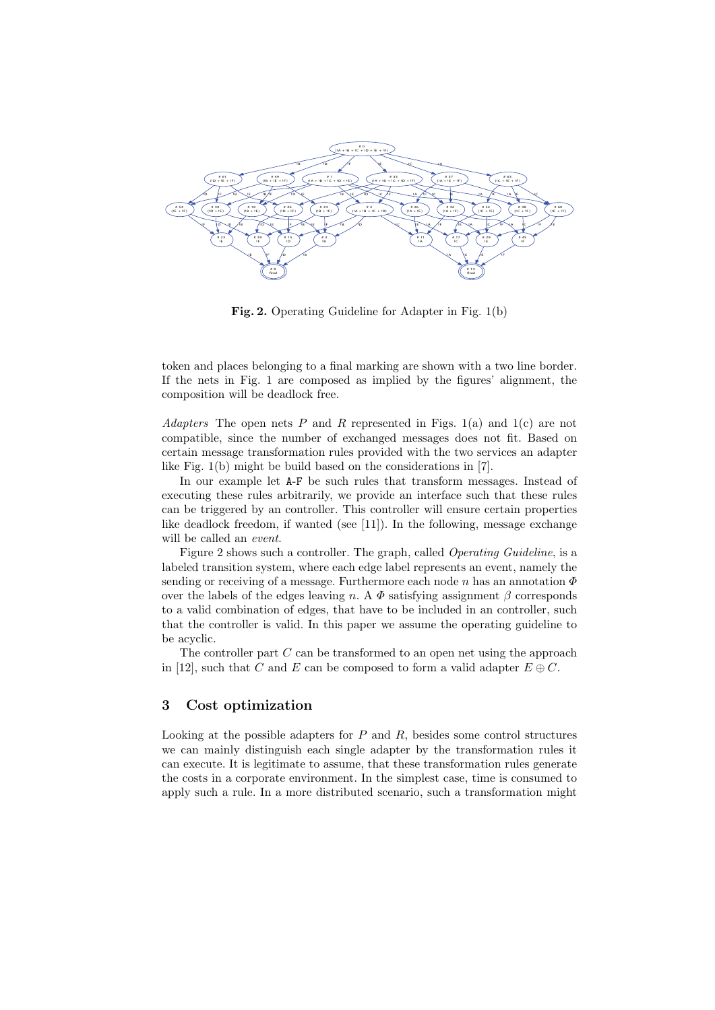

<span id="page-2-1"></span>Fig. 2. Operating Guideline for Adapter in Fig. [1\(b\)](#page-1-1)

token and places belonging to a final marking are shown with a two line border. If the nets in Fig. [1](#page-1-0) are composed as implied by the figures' alignment, the composition will be deadlock free.

Adapters The open nets P and R represented in Figs. [1\(a\)](#page-1-2) and [1\(c\)](#page-1-3) are not compatible, since the number of exchanged messages does not fit. Based on certain message transformation rules provided with the two services an adapter like Fig. [1\(b\)](#page-1-1) might be build based on the considerations in [7].

In our example let A-F be such rules that transform messages. Instead of executing these rules arbitrarily, we provide an interface such that these rules can be triggered by an controller. This controller will ensure certain properties like deadlock freedom, if wanted (see [11]). In the following, message exchange will be called an event.

Figure [2](#page-2-1) shows such a controller. The graph, called Operating Guideline, is a labeled transition system, where each edge label represents an event, namely the sending or receiving of a message. Furthermore each node n has an annotation  $\Phi$ over the labels of the edges leaving n. A  $\Phi$  satisfying assignment  $\beta$  corresponds to a valid combination of edges, that have to be included in an controller, such that the controller is valid. In this paper we assume the operating guideline to be acyclic.

The controller part  $C$  can be transformed to an open net using the approach in [12], such that C and E can be composed to form a valid adapter  $E \oplus C$ .

## <span id="page-2-0"></span>3 Cost optimization

Looking at the possible adapters for  $P$  and  $R$ , besides some control structures we can mainly distinguish each single adapter by the transformation rules it can execute. It is legitimate to assume, that these transformation rules generate the costs in a corporate environment. In the simplest case, time is consumed to apply such a rule. In a more distributed scenario, such a transformation might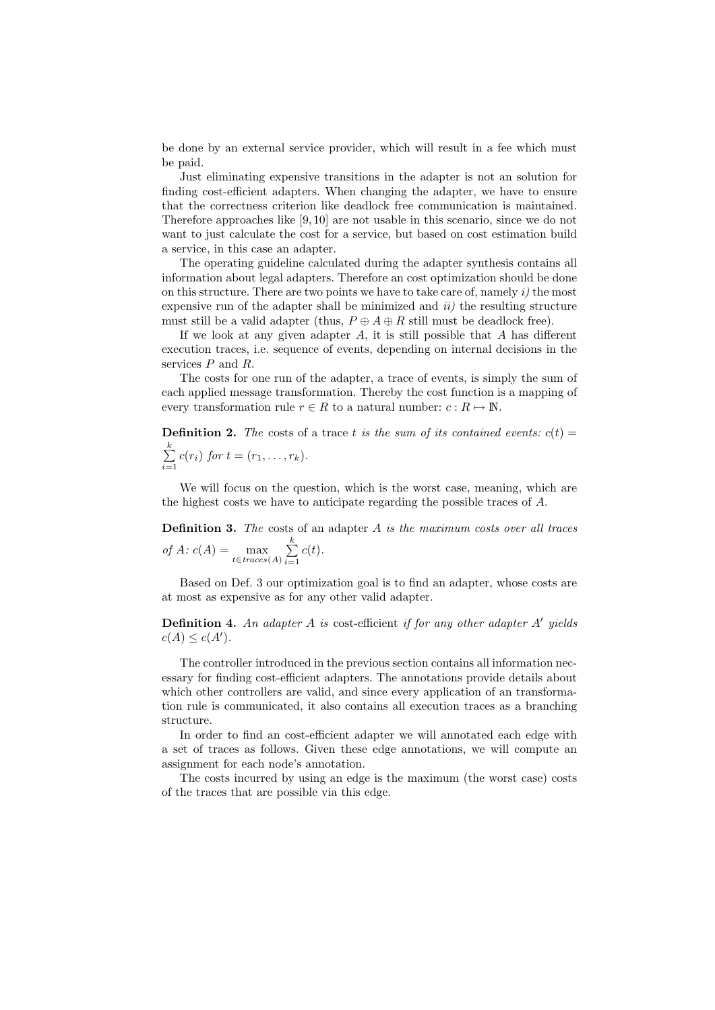be done by an external service provider, which will result in a fee which must be paid.

Just eliminating expensive transitions in the adapter is not an solution for finding cost-efficient adapters. When changing the adapter, we have to ensure that the correctness criterion like deadlock free communication is maintained. Therefore approaches like [9, 10] are not usable in this scenario, since we do not want to just calculate the cost for a service, but based on cost estimation build a service, in this case an adapter.

The operating guideline calculated during the adapter synthesis contains all information about legal adapters. Therefore an cost optimization should be done on this structure. There are two points we have to take care of, namely  $i$ ) the most expensive run of the adapter shall be minimized and  $ii)$  the resulting structure must still be a valid adapter (thus,  $P \oplus A \oplus R$  still must be deadlock free).

If we look at any given adapter  $A$ , it is still possible that  $A$  has different execution traces, i.e. sequence of events, depending on internal decisions in the services  $P$  and  $R$ .

The costs for one run of the adapter, a trace of events, is simply the sum of each applied message transformation. Thereby the cost function is a mapping of every transformation rule  $r \in R$  to a natural number:  $c : R \mapsto \mathbb{N}$ .

**Definition 2.** The costs of a trace t is the sum of its contained events:  $c(t)$  =  $\sum_{i=1}^{k}$  $\sum_{i=1} c(r_i)$  for  $t = (r_1, ..., r_k)$ .

We will focus on the question, which is the worst case, meaning, which are the highest costs we have to anticipate regarding the possible traces of A.

<span id="page-3-0"></span>**Definition 3.** The costs of an adapter  $A$  is the maximum costs over all traces of A:  $c(A) = \max_{t \in traces(A)} \sum_{i=1}^{k}$  $i=1$  $c(t).$ 

Based on Def. [3](#page-3-0) our optimization goal is to find an adapter, whose costs are at most as expensive as for any other valid adapter.

**Definition 4.** An adapter A is cost-efficient if for any other adapter  $A'$  yields  $c(A) \leq c(A')$ .

The controller introduced in the previous section contains all information necessary for finding cost-efficient adapters. The annotations provide details about which other controllers are valid, and since every application of an transformation rule is communicated, it also contains all execution traces as a branching structure.

In order to find an cost-efficient adapter we will annotated each edge with a set of traces as follows. Given these edge annotations, we will compute an assignment for each node's annotation.

The costs incurred by using an edge is the maximum (the worst case) costs of the traces that are possible via this edge.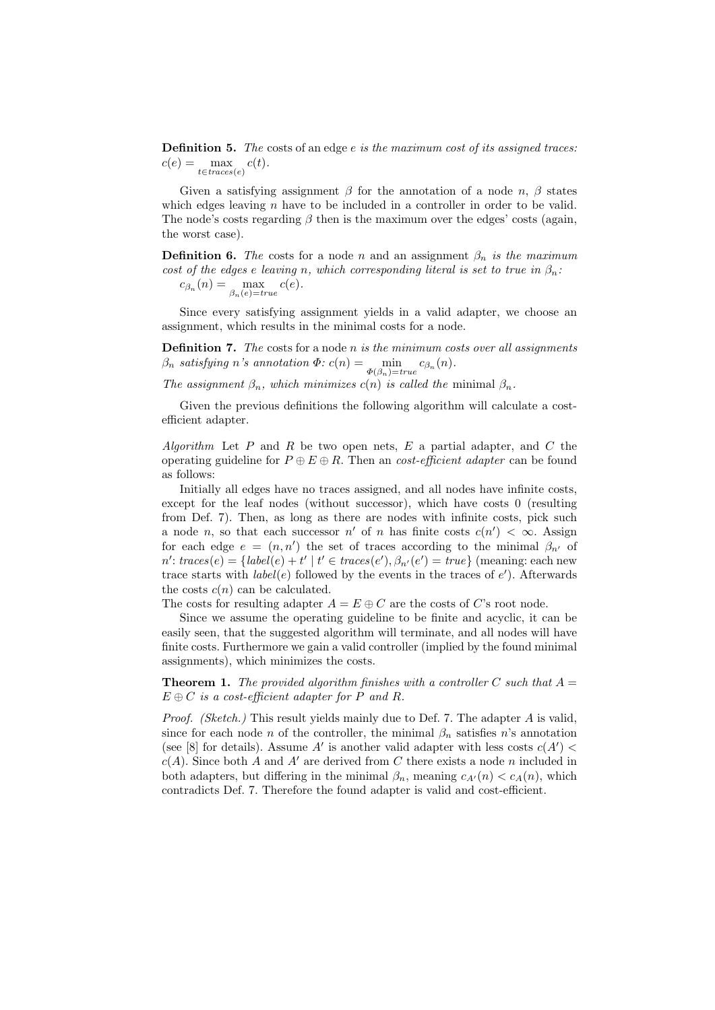Definition 5. The costs of an edge e is the maximum cost of its assigned traces:  $c(e) = \max_{t \in traces(e)} c(t).$ 

Given a satisfying assignment  $\beta$  for the annotation of a node n,  $\beta$  states which edges leaving  $n$  have to be included in a controller in order to be valid. The node's costs regarding  $\beta$  then is the maximum over the edges' costs (again, the worst case).

**Definition 6.** The costs for a node n and an assignment  $\beta_n$  is the maximum cost of the edges e leaving n, which corresponding literal is set to true in  $\beta_n$ .  $c_{\beta_n}(n) = \max_{\beta_n(e) = true} c(e).$ 

Since every satisfying assignment yields in a valid adapter, we choose an assignment, which results in the minimal costs for a node.

<span id="page-4-0"></span>**Definition 7.** The costs for a node  $n$  is the minimum costs over all assignments  $\beta_n$  satisfying n's annotation  $\Phi: c(n) = \min_{\Phi(\beta_n)=true} c_{\beta_n}(n)$ .

The assignment  $\beta_n$ , which minimizes  $c(n)$  is called the minimal  $\beta_n$ .

Given the previous definitions the following algorithm will calculate a costefficient adapter.

Algorithm Let  $P$  and  $R$  be two open nets,  $E$  a partial adapter, and  $C$  the operating guideline for  $P \oplus E \oplus R$ . Then an *cost-efficient adapter* can be found as follows:

Initially all edges have no traces assigned, and all nodes have infinite costs, except for the leaf nodes (without successor), which have costs 0 (resulting from Def. [7\)](#page-4-0). Then, as long as there are nodes with infinite costs, pick such a node *n*, so that each successor  $n'$  of *n* has finite costs  $c(n') < \infty$ . Assign for each edge  $e = (n, n')$  the set of traces according to the minimal  $\beta_{n'}$  of  $n'$ :  $traces(e) = \{label(e) + t' | t' \in traces(e'), \beta_{n'}(e') = true\}$  (meaning: each new trace starts with  $label(e)$  followed by the events in the traces of  $e'$ ). Afterwards the costs  $c(n)$  can be calculated.

The costs for resulting adapter  $A = E \oplus C$  are the costs of C's root node.

Since we assume the operating guideline to be finite and acyclic, it can be easily seen, that the suggested algorithm will terminate, and all nodes will have finite costs. Furthermore we gain a valid controller (implied by the found minimal assignments), which minimizes the costs.

**Theorem 1.** The provided algorithm finishes with a controller C such that  $A =$  $E \oplus C$  is a cost-efficient adapter for P and R.

Proof. (Sketch.) This result yields mainly due to Def. [7.](#page-4-0) The adapter A is valid, since for each node n of the controller, the minimal  $\beta_n$  satisfies n's annotation (see [8] for details). Assume  $A'$  is another valid adapter with less costs  $c(A')$  <  $c(A)$ . Since both A and A' are derived from C there exists a node n included in both adapters, but differing in the minimal  $\beta_n$ , meaning  $c_{A'}(n) < c_A(n)$ , which contradicts Def. [7.](#page-4-0) Therefore the found adapter is valid and cost-efficient.